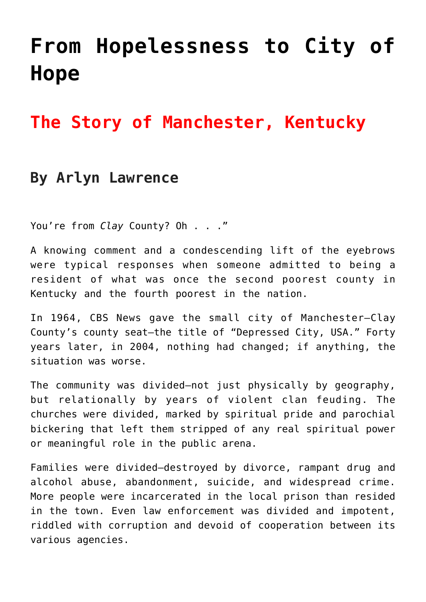# **[From Hopelessness to City of](https://www.prayerleader.com/from-hopelessness-to-city-of-hope/) [Hope](https://www.prayerleader.com/from-hopelessness-to-city-of-hope/)**

## **The Story of Manchester, Kentucky**

### **By Arlyn Lawrence**

You're from *Clay* County? Oh . . ."

A knowing comment and a condescending lift of the eyebrows were typical responses when someone admitted to being a resident of what was once the second poorest county in Kentucky and the fourth poorest in the nation.

In 1964, CBS News gave the small city of Manchester—Clay County's county seat—the title of "Depressed City, USA." Forty years later, in 2004, nothing had changed; if anything, the situation was worse.

The community was divided—not just physically by geography, but relationally by years of violent clan feuding. The churches were divided, marked by spiritual pride and parochial bickering that left them stripped of any real spiritual power or meaningful role in the public arena.

Families were divided—destroyed by divorce, rampant drug and alcohol abuse, abandonment, suicide, and widespread crime. More people were incarcerated in the local prison than resided in the town. Even law enforcement was divided and impotent, riddled with corruption and devoid of cooperation between its various agencies.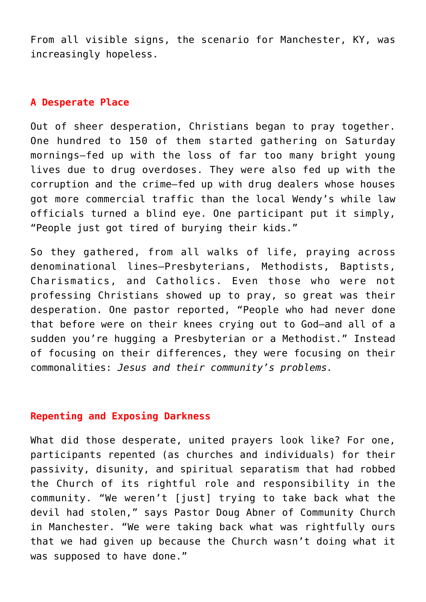From all visible signs, the scenario for Manchester, KY, was increasingly hopeless.

#### **A Desperate Place**

Out of sheer desperation, Christians began to pray together. One hundred to 150 of them started gathering on Saturday mornings—fed up with the loss of far too many bright young lives due to drug overdoses. They were also fed up with the corruption and the crime—fed up with drug dealers whose houses got more commercial traffic than the local Wendy's while law officials turned a blind eye. One participant put it simply, "People just got tired of burying their kids."

So they gathered, from all walks of life, praying across denominational lines—Presbyterians, Methodists, Baptists, Charismatics, and Catholics. Even those who were not professing Christians showed up to pray, so great was their desperation. One pastor reported, "People who had never done that before were on their knees crying out to God—and all of a sudden you're hugging a Presbyterian or a Methodist." Instead of focusing on their differences, they were focusing on their commonalities: *Jesus and their community's problems.*

#### **Repenting and Exposing Darkness**

What did those desperate, united prayers look like? For one, participants repented (as churches and individuals) for their passivity, disunity, and spiritual separatism that had robbed the Church of its rightful role and responsibility in the community. "We weren't [just] trying to take back what the devil had stolen," says Pastor Doug Abner of Community Church in Manchester. "We were taking back what was rightfully ours that we had given up because the Church wasn't doing what it was supposed to have done."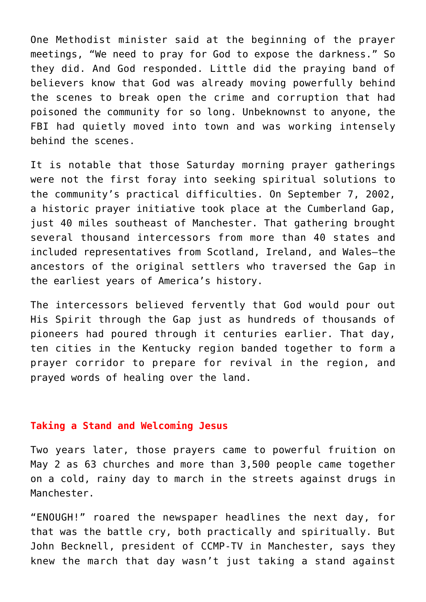One Methodist minister said at the beginning of the prayer meetings, "We need to pray for God to expose the darkness." So they did. And God responded. Little did the praying band of believers know that God was already moving powerfully behind the scenes to break open the crime and corruption that had poisoned the community for so long. Unbeknownst to anyone, the FBI had quietly moved into town and was working intensely behind the scenes.

It is notable that those Saturday morning prayer gatherings were not the first foray into seeking spiritual solutions to the community's practical difficulties. On September 7, 2002, a historic prayer initiative took place at the Cumberland Gap, just 40 miles southeast of Manchester. That gathering brought several thousand intercessors from more than 40 states and included representatives from Scotland, Ireland, and Wales—the ancestors of the original settlers who traversed the Gap in the earliest years of America's history.

The intercessors believed fervently that God would pour out His Spirit through the Gap just as hundreds of thousands of pioneers had poured through it centuries earlier. That day, ten cities in the Kentucky region banded together to form a prayer corridor to prepare for revival in the region, and prayed words of healing over the land.

#### **Taking a Stand and Welcoming Jesus**

Two years later, those prayers came to powerful fruition on May 2 as 63 churches and more than 3,500 people came together on a cold, rainy day to march in the streets against drugs in Manchester.

"ENOUGH!" roared the newspaper headlines the next day, for that was the battle cry, both practically and spiritually. But John Becknell, president of CCMP-TV in Manchester, says they knew the march that day wasn't just taking a stand against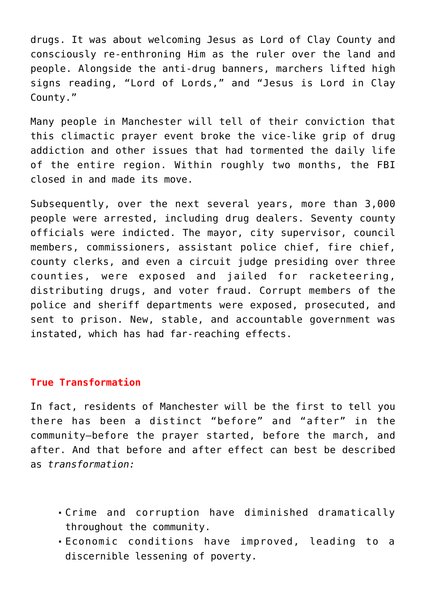drugs. It was about welcoming Jesus as Lord of Clay County and consciously re-enthroning Him as the ruler over the land and people. Alongside the anti-drug banners, marchers lifted high signs reading, "Lord of Lords," and "Jesus is Lord in Clay County."

Many people in Manchester will tell of their conviction that this climactic prayer event broke the vice-like grip of drug addiction and other issues that had tormented the daily life of the entire region. Within roughly two months, the FBI closed in and made its move.

Subsequently, over the next several years, more than 3,000 people were arrested, including drug dealers. Seventy county officials were indicted. The mayor, city supervisor, council members, commissioners, assistant police chief, fire chief, county clerks, and even a circuit judge presiding over three counties, were exposed and jailed for racketeering, distributing drugs, and voter fraud. Corrupt members of the police and sheriff departments were exposed, prosecuted, and sent to prison. New, stable, and accountable government was instated, which has had far-reaching effects.

#### **True Transformation**

In fact, residents of Manchester will be the first to tell you there has been a distinct "before" and "after" in the community—before the prayer started, before the march, and after. And that before and after effect can best be described as *transformation:*

- Crime and corruption have diminished dramatically throughout the community.
- Economic conditions have improved, leading to a discernible lessening of poverty.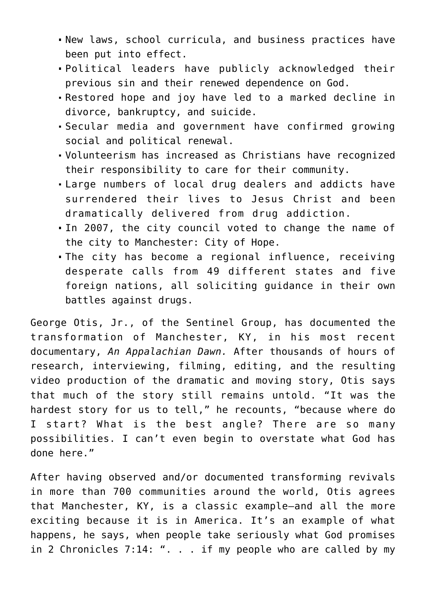- New laws, school curricula, and business practices have been put into effect.
- Political leaders have publicly acknowledged their previous sin and their renewed dependence on God.
- Restored hope and joy have led to a marked decline in divorce, bankruptcy, and suicide.
- Secular media and government have confirmed growing social and political renewal.
- Volunteerism has increased as Christians have recognized their responsibility to care for their community.
- Large numbers of local drug dealers and addicts have surrendered their lives to Jesus Christ and been dramatically delivered from drug addiction.
- In 2007, the city council voted to change the name of the city to Manchester: City of Hope.
- The city has become a regional influence, receiving desperate calls from 49 different states and five foreign nations, all soliciting guidance in their own battles against drugs.

George Otis, Jr., of the Sentinel Group, has documented the transformation of Manchester, KY, in his most recent documentary, *An Appalachian Dawn.* After thousands of hours of research, interviewing, filming, editing, and the resulting video production of the dramatic and moving story, Otis says that much of the story still remains untold. "It was the hardest story for us to tell," he recounts, "because where do I start? What is the best angle? There are so many possibilities. I can't even begin to overstate what God has done here."

After having observed and/or documented transforming revivals in more than 700 communities around the world, Otis agrees that Manchester, KY, is a classic example—and all the more exciting because it is in America. It's an example of what happens, he says, when people take seriously what God promises in 2 Chronicles 7:14: ". . . if my people who are called by my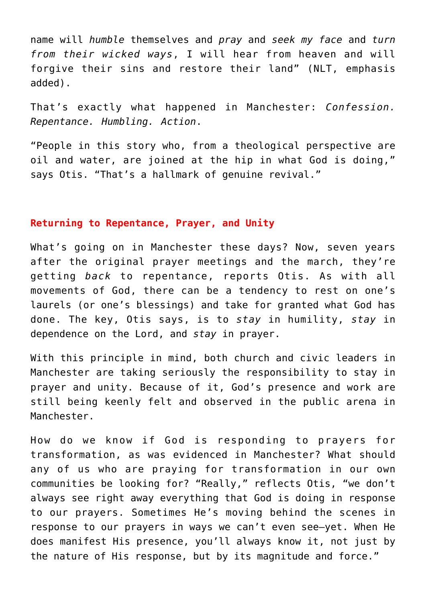name will *humble* themselves and *pray* and *seek my face* and *turn from their wicked ways*, I will hear from heaven and will forgive their sins and restore their land" (NLT, emphasis added).

That's exactly what happened in Manchester: *Confession. Repentance. Humbling. Action*.

"People in this story who, from a theological perspective are oil and water, are joined at the hip in what God is doing," says Otis. "That's a hallmark of genuine revival."

#### **Returning to Repentance, Prayer, and Unity**

What's going on in Manchester these days? Now, seven years after the original prayer meetings and the march, they're getting *back* to repentance, reports Otis. As with all movements of God, there can be a tendency to rest on one's laurels (or one's blessings) and take for granted what God has done. The key, Otis says, is to *stay* in humility, *stay* in dependence on the Lord, and *stay* in prayer.

With this principle in mind, both church and civic leaders in Manchester are taking seriously the responsibility to stay in prayer and unity. Because of it, God's presence and work are still being keenly felt and observed in the public arena in Manchester.

How do we know if God is responding to prayers for transformation, as was evidenced in Manchester? What should any of us who are praying for transformation in our own communities be looking for? "Really," reflects Otis, "we don't always see right away everything that God is doing in response to our prayers. Sometimes He's moving behind the scenes in response to our prayers in ways we can't even see—yet. When He does manifest His presence, you'll always know it, not just by the nature of His response, but by its magnitude and force."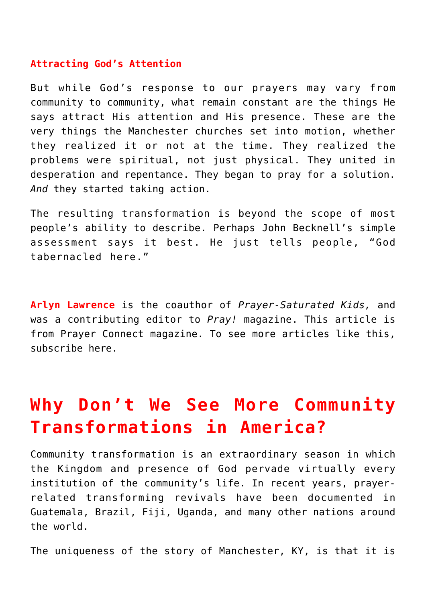#### **Attracting God's Attention**

But while God's response to our prayers may vary from community to community, what remain constant are the things He says attract His attention and His presence. These are the very things the Manchester churches set into motion, whether they realized it or not at the time. They realized the problems were spiritual, not just physical. They united in desperation and repentance. They began to pray for a solution. *And* they started taking action.

The resulting transformation is beyond the scope of most people's ability to describe. Perhaps John Becknell's simple assessment says it best. He just tells people, "God tabernacled here."

**Arlyn Lawrence** is the coauthor of *[Prayer-Saturated Kids](http://www.prayershop.org/Prayer-Saturated-Kids-p/chu-sac-bk-001.htm),* and was a contributing editor to *Pray!* magazine. This article is from [Prayer Connect](http://prayerconnect.net) magazine. To see more articles like this, [subscribe here.](https://prayerleader.com)

## **Why Don't We See More Community Transformations in America?**

Community transformation is an extraordinary season in which the Kingdom and presence of God pervade virtually every institution of the community's life. In recent years, prayerrelated transforming revivals have been documented in Guatemala, Brazil, Fiji, Uganda, and many other nations around the world.

The uniqueness of the story of Manchester, KY, is that it is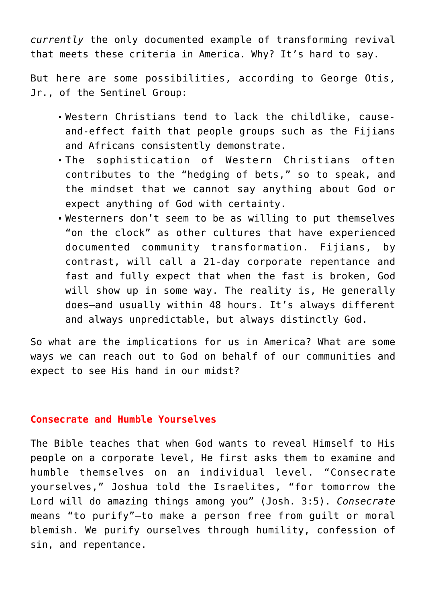*currently* the only documented example of transforming revival that meets these criteria in America. Why? It's hard to say.

But here are some possibilities, according to George Otis, Jr., of the Sentinel Group:

- Western Christians tend to lack the childlike, causeand-effect faith that people groups such as the Fijians and Africans consistently demonstrate.
- The sophistication of Western Christians often contributes to the "hedging of bets," so to speak, and the mindset that we cannot say anything about God or expect anything of God with certainty.
- Westerners don't seem to be as willing to put themselves "on the clock" as other cultures that have experienced documented community transformation. Fijians, by contrast, will call a 21-day corporate repentance and fast and fully expect that when the fast is broken, God will show up in some way. The reality is, He generally does—and usually within 48 hours. It's always different and always unpredictable, but always distinctly God.

So what are the implications for us in America? What are some ways we can reach out to God on behalf of our communities and expect to see His hand in our midst?

#### **Consecrate and Humble Yourselves**

The Bible teaches that when God wants to reveal Himself to His people on a corporate level, He first asks them to examine and humble themselves on an individual level. "Consecrate yourselves," Joshua told the Israelites, "for tomorrow the Lord will do amazing things among you" (Josh. 3:5). *Consecrate* means "to purify"—to make a person free from guilt or moral blemish. We purify ourselves through humility, confession of sin, and repentance.